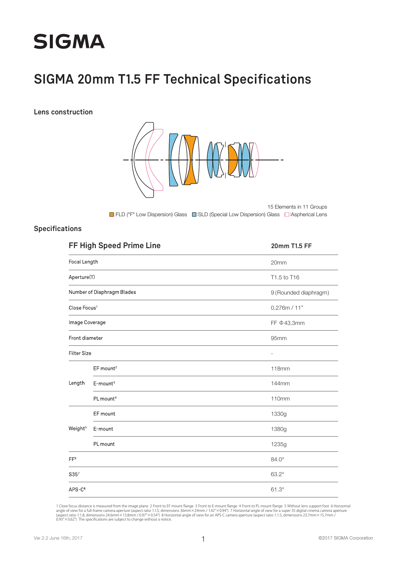# **SIGMA**

### **SIGMA 20mm T1.5 FF Technical Specifications**

**Lens construction**



■:FLD ("F" Low Dispersion) Glass ■:SLD (Special Low Dispersion) Glass ■:Aspherical Lens 15 Elements in 11 Groups

#### **Specifications**

|                          | FF High Speed Prime Line   | 20mm T1.5 FF          |
|--------------------------|----------------------------|-----------------------|
| Focal Length             |                            | 20mm                  |
| Aperture(T)              |                            | T1.5 to T16           |
|                          | Number of Diaphragm Blades | 9 (Rounded diaphragm) |
| Close Focus <sup>1</sup> |                            | 0.276m / 11"          |
| Image Coverage           |                            | FF $\Phi$ 43.3mm      |
| Front diameter           |                            | 95mm                  |
| <b>Filter Size</b>       |                            |                       |
|                          | EF mount <sup>2</sup>      | 118mm                 |
| Length                   | $E$ -mount <sup>3</sup>    | 144mm                 |
|                          | PL mount <sup>4</sup>      | 110mm                 |
| Weight <sup>5</sup>      | EF mount                   | 1330g                 |
|                          | E-mount                    | 1380g                 |
|                          | PL mount                   | 1235g                 |
| FF <sup>6</sup>          |                            | 84.0°                 |
| S35 <sup>7</sup>         |                            | 63.2°                 |
| $APS-C8$                 |                            | $61.3^\circ$          |

1 Close focus distance is measured from the image plane 2 Front to EF mount flange 3 Front to E-mount flange 4 Front to PL mount flange 5 Without lens support foot 6 Horizontal<br>angle of view for a full-frame camera apertur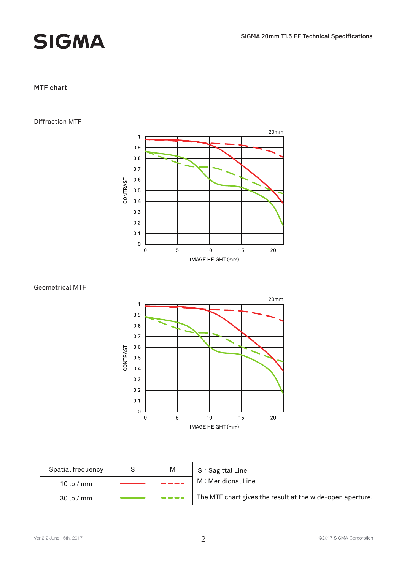## **SIGMA**

#### **MTF chart**

#### Diffraction MTF



#### Geometrical MTF



| Spatial frequency |  |  |
|-------------------|--|--|
| $10$ lp / mm      |  |  |
| $30$ lp / mm      |  |  |

#### S: Sagittal Line M: Meridional Line

The MTF chart gives the result at the wide-open aperture.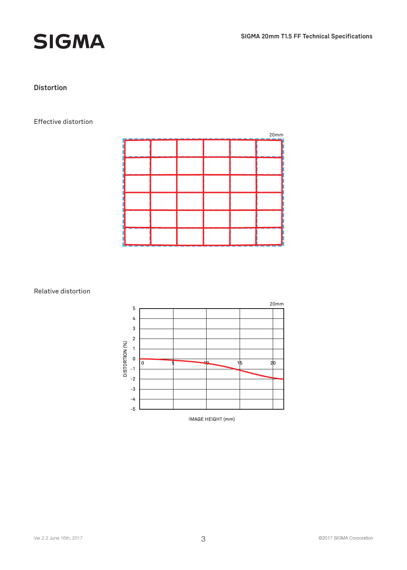



#### **Distortion**

#### Effective distortion

| 20mm |  |  |  |  |  |  |
|------|--|--|--|--|--|--|
|      |  |  |  |  |  |  |
|      |  |  |  |  |  |  |
|      |  |  |  |  |  |  |
|      |  |  |  |  |  |  |
|      |  |  |  |  |  |  |
|      |  |  |  |  |  |  |

#### Relative distortion